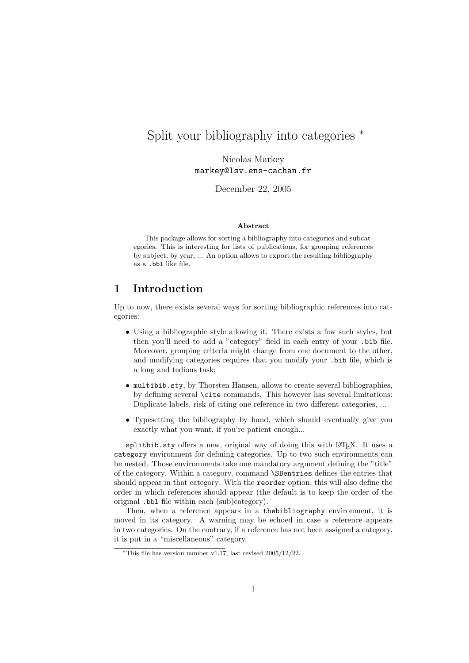# Split your bibliography into categories <sup>∗</sup>

Nicolas Markey markey@lsv.ens-cachan.fr

December 22, 2005

#### Abstract

This package allows for sorting a bibliography into categories and subcategories. This is interesting for lists of publications, for grouping references by subject, by year, ... An option allows to export the resulting bibliography as a .bbl like file.

## 1 Introduction

Up to now, there exists several ways for sorting bibliographic references into categories:

- Using a bibliographic style allowing it. There exists a few such styles, but then you'll need to add a "category" field in each entry of your .bib file. Moreover, grouping criteria might change from one document to the other, and modifying categories requires that you modify your .bib file, which is a long and tedious task;
- multibib.sty, by Thorsten Hansen, allows to create several bibliographies, by defining several \cite commands. This however has several limitations: Duplicate labels, risk of citing one reference in two different categories, ...
- Typesetting the bibliography by hand, which should eventually give you exactly what you want, if you're patient enough...

splitbib.sty offers a new, original way of doing this with LATEX. It uses a category environment for defining categories. Up to two such environments can be nested. Those environments take one mandatory argument defining the "title" of the category. Within a category, command \SBentries defines the entries that should appear in that category. With the reorder option, this will also define the order in which references should appear (the default is to keep the order of the original .bbl file within each (sub)category).

Then, when a reference appears in a thebibliography environment, it is moved in its category. A warning may be echoed in case a reference appears in two categories. On the contrary, if a reference has not been assigned a category, it is put in a "miscellaneous" category.

<sup>\*</sup>This file has version number v1.17, last revised  $2005/12/22$ .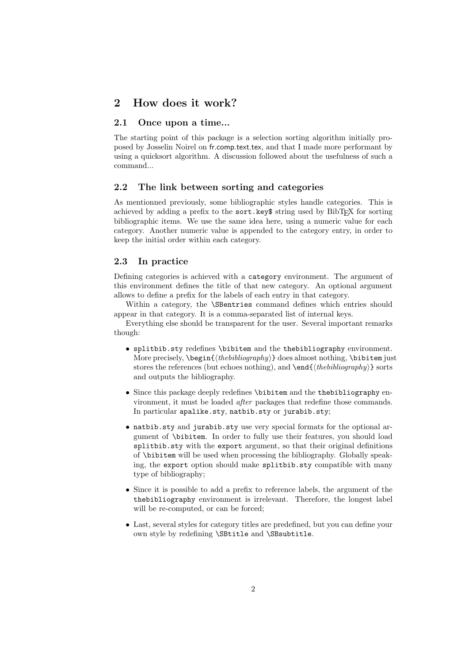### 2 How does it work?

### 2.1 Once upon a time...

The starting point of this package is a selection sorting algorithm initially proposed by Josselin Noirel on fr.comp.text.tex, and that I made more performant by using a quicksort algorithm. A discussion followed about the usefulness of such a command...

### 2.2 The link between sorting and categories

As mentionned previously, some bibliographic styles handle categories. This is achieved by adding a prefix to the sort.key\$ string used by BibT<sub>EX</sub> for sorting bibliographic items. We use the same idea here, using a numeric value for each category. Another numeric value is appended to the category entry, in order to keep the initial order within each category.

#### 2.3 In practice

Defining categories is achieved with a category environment. The argument of this environment defines the title of that new category. An optional argument allows to define a prefix for the labels of each entry in that category.

Within a category, the \SBentries command defines which entries should appear in that category. It is a comma-separated list of internal keys.

Everything else should be transparent for the user. Several important remarks though:

- splitbib.sty redefines \bibitem and the thebibliography environment. More precisely,  $\begin{{(the bibliography)} does almost nothing, \bibitem just \end{bmatrix}$ stores the references (but echoes nothing), and  $\end{math>$ and outputs the bibliography.
- Since this package deeply redefines \bibitem and the thebibliography environment, it must be loaded after packages that redefine those commands. In particular apalike.sty, natbib.sty or jurabib.sty;
- natbib.sty and jurabib.sty use very special formats for the optional argument of \bibitem. In order to fully use their features, you should load splitbib.sty with the export argument, so that their original definitions of \bibitem will be used when processing the bibliography. Globally speaking, the export option should make splitbib.sty compatible with many type of bibliography;
- Since it is possible to add a prefix to reference labels, the argument of the thebibliography environment is irrelevant. Therefore, the longest label will be re-computed, or can be forced;
- Last, several styles for category titles are predefined, but you can define your own style by redefining \SBtitle and \SBsubtitle.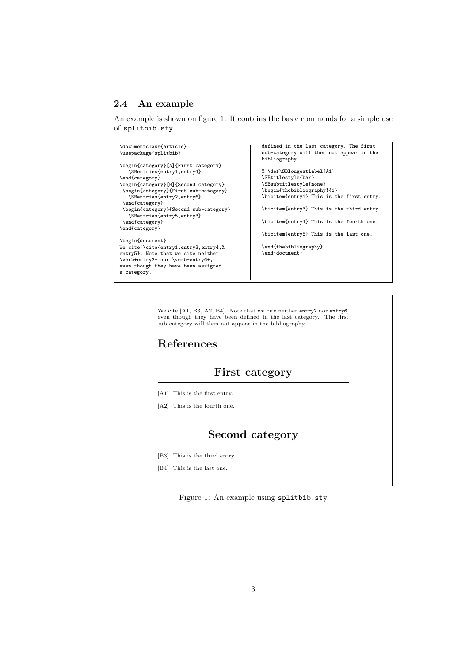### 2.4 An example

An example is shown on figure 1. It contains the basic commands for a simple use of splitbib.sty.



### Second category

- [B3] This is the third entry.
- [B4] This is the last one.

Figure 1: An example using splitbib.sty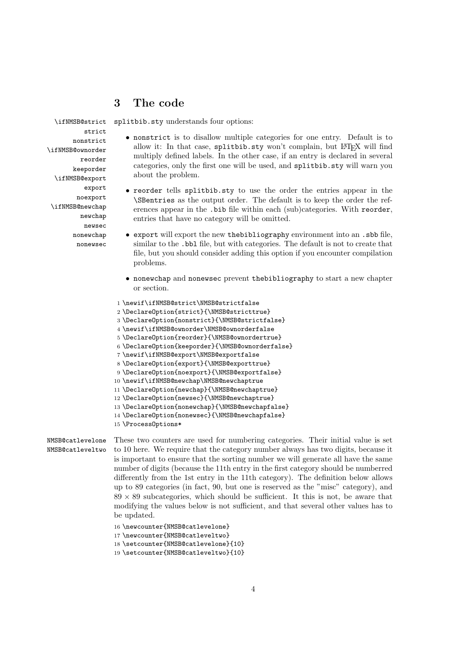### 3 The code

\ifNMSB@strict strict nonstrict \ifNMSB@ownorder reorder keeporder \ifNMSB@export export noexport \ifNMSB@newchap newchap newsec nonewchap nonewsec

splitbib.sty understands four options:

- nonstrict is to disallow multiple categories for one entry. Default is to allow it: In that case, splitbib.sty won't complain, but LATEX will find multiply defined labels. In the other case, if an entry is declared in several categories, only the first one will be used, and splitbib.sty will warn you about the problem.
- reorder tells splitbib.sty to use the order the entries appear in the \SBentries as the output order. The default is to keep the order the references appear in the .bib file within each (sub)categories. With reorder, entries that have no category will be omitted.
- export will export the new thebibliography environment into an .sbb file, similar to the .bbl file, but with categories. The default is not to create that file, but you should consider adding this option if you encounter compilation problems.
	- nonewchap and nonewsec prevent thebibliography to start a new chapter or section.
- 1 \newif\ifNMSB@strict\NMSB@strictfalse 2 \DeclareOption{strict}{\NMSB@stricttrue} 3 \DeclareOption{nonstrict}{\NMSB@strictfalse} 4 \newif\ifNMSB@ownorder\NMSB@ownorderfalse 5 \DeclareOption{reorder}{\NMSB@ownordertrue} 6 \DeclareOption{keeporder}{\NMSB@ownorderfalse} 7 \newif\ifNMSB@export\NMSB@exportfalse 8 \DeclareOption{export}{\NMSB@exporttrue} 9 \DeclareOption{noexport}{\NMSB@exportfalse} 10 \newif\ifNMSB@newchap\NMSB@newchaptrue 11 \DeclareOption{newchap}{\NMSB@newchaptrue} 12 \DeclareOption{newsec}{\NMSB@newchaptrue} 13 \DeclareOption{nonewchap}{\NMSB@newchapfalse} 14 \DeclareOption{nonewsec}{\NMSB@newchapfalse}
- 15 \ProcessOptions\*

#### NMSB@catlevelone NMSB@catleveltwo

These two counters are used for numbering categories. Their initial value is set to 10 here. We require that the category number always has two digits, because it is important to ensure that the sorting number we will generate all have the same number of digits (because the 11th entry in the first category should be numberred differently from the 1st entry in the 11th category). The definition below allows up to 89 categories (in fact, 90, but one is reserved as the "misc" category), and  $89 \times 89$  subcategories, which should be sufficient. It this is not, be aware that modifying the values below is not sufficient, and that several other values has to be updated.

```
16 \newcounter{NMSB@catlevelone}
```

```
17 \newcounter{NMSB@catleveltwo}
```
18 \setcounter{NMSB@catlevelone}{10}

19 \setcounter{NMSB@catleveltwo}{10}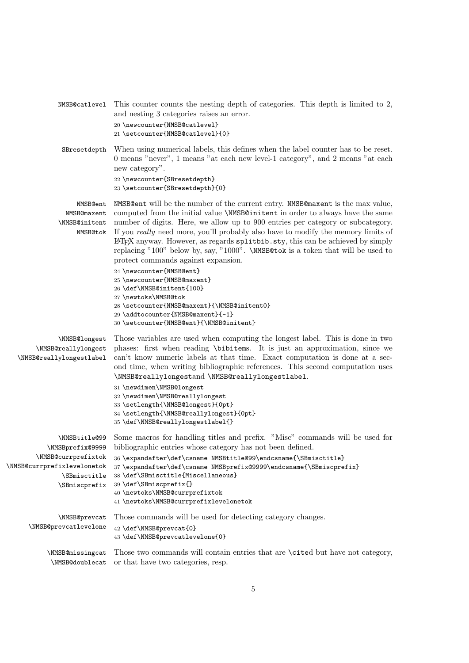| NMSB@catlevel                                                                                                                          | This counter counts the nesting depth of categories. This depth is limited to 2,<br>and nesting 3 categories raises an error.<br>20 \newcounter{NMSB@catlevel}<br>21 \setcounter{NMSB@catlevel}{0}                                                                                                                                                                                                                                                                                                                                                                                                                                                                                                                                                                                                     |  |
|----------------------------------------------------------------------------------------------------------------------------------------|--------------------------------------------------------------------------------------------------------------------------------------------------------------------------------------------------------------------------------------------------------------------------------------------------------------------------------------------------------------------------------------------------------------------------------------------------------------------------------------------------------------------------------------------------------------------------------------------------------------------------------------------------------------------------------------------------------------------------------------------------------------------------------------------------------|--|
| SBresetdepth                                                                                                                           | When using numerical labels, this defines when the label counter has to be reset.<br>0 means "never", 1 means "at each new level-1 category", and 2 means "at each<br>new category".<br>22 \newcounter{SBresetdepth}<br>23 \setcounter{SBresetdepth}{0}                                                                                                                                                                                                                                                                                                                                                                                                                                                                                                                                                |  |
| NMSB@ent<br>NMSB@maxent<br>\NMSB@initent<br>NMSB@tok                                                                                   | NMSB@ent will be the number of the current entry. NMSB@maxent is the max value,<br>computed from the initial value \NMSB@initent in order to always have the same<br>number of digits. Here, we allow up to 900 entries per category or subcategory.<br>If you really need more, you'll probably also have to modify the memory limits of<br>IATEX anyway. However, as regards splittlib.sty, this can be achieved by simply<br>replacing "100" below by, say, "1000". \NMSB@tok is a token that will be used to<br>protect commands against expansion.<br>24 \newcounter{NMSB@ent}<br>25 \newcounter{NMSB@maxent}<br>26 \def\NMSB@initent{100}<br>27 \newtoks\NMSB@tok<br>28 \setcounter{NMSB@maxent}{\NMSB@initent0}<br>29 \addtocounter{NMSB@maxent}{-1}<br>30 \setcounter{NMSB@ent}{\NMSB@initent} |  |
| \NMSB@longest<br>\NMSB@reallylongest<br>\NMSB@reallylongestlabel                                                                       | Those variables are used when computing the longest label. This is done in two<br>phases: first when reading \bibitems. It is just an approximation, since we<br>can't know numeric labels at that time. Exact computation is done at a sec-<br>ond time, when writing bibliographic references. This second computation uses<br>\NMSB@reallylongestand \NMSB@reallylongestlabel.<br>31 \newdimen\NMSB@longest<br>32 \newdimen\NMSB@reallylongest<br>33 \setlength{\NMSB@longest}{Opt}<br>34 \setlength{\NMSB@reallylongest}{0pt}<br>35\def\NMSB@reallylongestlabel{}                                                                                                                                                                                                                                  |  |
| \NMSBtitle@99<br>\NMSBprefix@9999<br>\NMSB@currprefixtok<br>\NMSB@currprefixlevelonetok<br>\SBmisctitle<br><i><b>\SBmiscprefix</b></i> | Some macros for handling titles and prefix. "Misc" commands will be used for<br>bibliographic entries whose category has not been defined.<br>36 \expandafter\def\csname NMSBtitle@99\endcsname{\SBmisctitle}<br>37\expandafter\def\csname NMSBprefix@9999\endcsname{\SBmiscprefix}<br>38 \def\SBmisctitle{Miscellaneous}<br>39 \def\SBmiscprefix{}<br>40 \newtoks\NMSB@currprefixtok<br>41 \newtoks\NMSB@currprefixlevelonetok                                                                                                                                                                                                                                                                                                                                                                        |  |
| \NMSB@prevcat<br>\NMSB@prevcatlevelone                                                                                                 | Those commands will be used for detecting category changes.<br>42 \def\NMSB@prevcat{0}<br>43 \def\NMSB@prevcatlevelone{0}                                                                                                                                                                                                                                                                                                                                                                                                                                                                                                                                                                                                                                                                              |  |
| \NMSB@missingcat<br>\NMSB@doublecat                                                                                                    | Those two commands will contain entries that are \cited but have not category,<br>or that have two categories, resp.                                                                                                                                                                                                                                                                                                                                                                                                                                                                                                                                                                                                                                                                                   |  |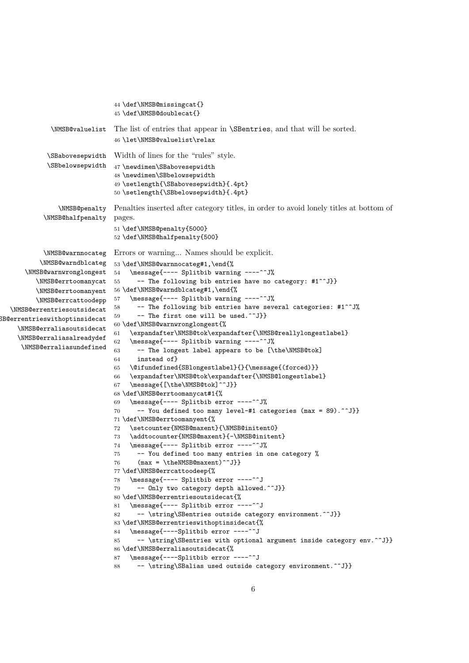```
44 \def\NMSB@missingcat{}
                               45 \def\NMSB@doublecat{}
             \NMSB@valuelist The list of entries that appear in \SBentries, and that will be sorted.
                               46 \let\NMSB@valuelist\relax
            \SBabovesepwidth
Width of lines for the "rules" style.
            \SBbelowsepwidth
                              47 \newdimen\SBabovesepwidth
                               48 \newdimen\SBbelowsepwidth
                               49 \setlength{\SBabovesepwidth}{.4pt}
                               50 \setlength{\SBbelowsepwidth}{.4pt}
               \NMSB@penalty
Penalties inserted after category titles, in order to avoid lonely titles at bottom of
           \NMSB@halfpenalty
                              pages.
                               51 \def\NMSB@penalty{5000}
                               52 \def\NMSB@halfpenalty{500}
           \NMSB@warnnocateg
Errors or warning... Names should be explicit.
          \NMSB@warndblcateg
53 \def\NMSB@warnnocateg#1,\end{%
      \NMSB@warnwronglongest
54 \message{---- Splitbib warning ----^^J%
         \NMSB@errtoomanycat 55
         \NMSB@errtoomanyent
56 \def\NMSB@warndblcateg#1,\end{%
         \NMSB@errcattoodepp
  \NMSB@errentriesoutsidecat
SB@errentrieswithoptinsidecat
    \NMSB@erraliasoutsidecat
    \NMSB@erraliasalreadydef
     \NMSB@erraliasundefined
                                     -- The following bib entries have no category: #1^^J}}
                              57 \message{---- Splitbib warning ----^^J%
                              58 -- The following bib entries have several categories: \sharp1<sup>\uparrow</sup>\uparrow%
                              59 -- The first one will be used.\hat{ } \hat{ } J}}
                               60 \def\NMSB@warnwronglongest{%
                               61 \expandafter\NMSB@tok\expandafter{\NMSB@reallylongestlabel}
                               62 \message{---- Splitbib warning ----^^J%
                              63 -- The longest label appears to be [\the\NMSB@tok]
                              64 instead of}
                              65 \@ifundefined{SBlongestlabel}{}{\message{(forced)}}
                              66 \expandafter\NMSB@tok\expandafter{\NMSB@longestlabel}
                               67 \message{[\the\NMSB@tok]^^J}}
                               68 \def\NMSB@errtoomanycat#1{%
                               69 \message{---- Splitbib error ----^^J%
                               70 -- You defined too many level-#1 categories (max = 89).^^J}}
                               71 \def\NMSB@errtoomanyent{%
                               72 \setcounter{NMSB@maxent}{\NMSB@initent0}
                               73 \addtocounter{NMSB@maxent}{-\NMSB@initent}
                               74 \message{---- Splitbib error ----^^J%
                               75 -- You defined too many entries in one category %
                               76 (max = \theNMSB@maxent)^^J}}
                               77 \def\NMSB@errcattoodeep{%
                               78 \message{---- Splitbib error ----^^J
                               79 -- Only two category depth allowed.^^J}}
                               80 \def\NMSB@errentriesoutsidecat{%
                              81 \message{---- Splitbib error ----^^J
                               82 -- \string\SBentries outside category environment.^^J}}
                               83 \def\NMSB@errentrieswithoptinsidecat{%
                               84 \message{----Splitbib error ----^^J
                               85 -- \string\SBentries with optional argument inside category env.^^J}}
                               86 \def\NMSB@erraliasoutsidecat{%
                               87 \message{----Splitbib error ----^^J
                               88 -- \string\SBalias used outside category environment.^^J}}
```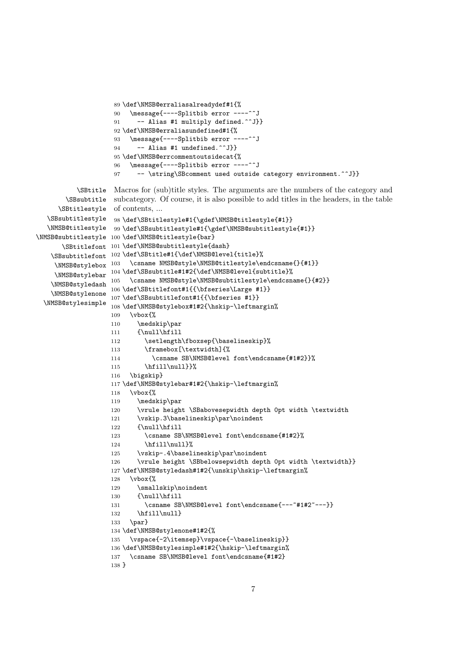```
89 \def\NMSB@erraliasalreadydef#1{%
                    90 \message{----Splitbib error ----^^J
                    91 -- Alias #1 multiply defined.^^J}}
                    92 \def\NMSB@erraliasundefined#1{%
                    93 \message{----Splitbib error ----^^J
                    94 -- Alias #1 undefined.^^J}}
                    95 \def\NMSB@errcommentoutsidecat{%
                    96 \message{----Splitbib error ----^^J
                    97 -- \string\SBcomment used outside category environment.^^J}}
          \SBtitle
Macros for (sub)title styles. The arguments are the numbers of the category and
       \SBsubtitle
subcategory. Of course, it is also possible to add titles in the headers, in the table
     \SBtitlestyle
of contents, ...
  \SBsubtitlestyle
98 \def\SBtitlestyle#1{\gdef\NMSB@titlestyle{#1}}
  \NMSB@titlestyle
99 \def\SBsubtitlestyle#1{\gdef\NMSB@subtitlestyle{#1}}
\NMSB@subtitlestyle
100 \def\NMSB@titlestyle{bar}
      \SBtitlefont
101 \def\NMSB@subtitlestyle{dash}
   \SBsubtitlefont
102 \def\SBtitle#1{\def\NMSB@level{title}%
    \NMSB@stylebox 103 \csname NMSB@style\NMSB@titlestyle\endcsname{}{#1}}
    \NMSB@stylebar
   \NMSB@styledash 105 \csname NMSB@style\NMSB@subtitlestyle\endcsname{}{#2}}
   \NMSB@stylenone 107\def\SBsubtitlefont#1{{\bfseries #1}}
 \NMSB@stylesimple
108 \def\NMSB@stylebox#1#2{\hskip-\leftmargin%
    \NMSB@stylebar 104\def\SBsubtitle#1#2{\def\NMSB@level{subtitle}%
                   106 \def\SBtitlefont#1{{\bfseries\Large #1}}
                   109 \vbox{%
                   110 \medskip\par
                   111 {\null\hfill
                   112 \setlength\fboxsep{\baselineskip}%
                   113 \framebox[\textwidth]{%
                   114 \csname SB\NMSB@level font\endcsname{#1#2}}%
                   115 \hfill\null}}%
                   116 \bigskip}
                   117 \def\NMSB@stylebar#1#2{\hskip-\leftmargin%
                   118 \vbox{%
                   119 \medskip\par
                   120 \vrule height \SBabovesepwidth depth 0pt width \textwidth
                   121 \vskip.3\baselineskip\par\noindent
                   122 {\null\hfill
                   123 \csname SB\NMSB@level font\endcsname{#1#2}%
                   124 \hfill\null}%
                   125 \vskip-.4\baselineskip\par\noindent
                   126 \vrule height \SBbelowsepwidth depth 0pt width \textwidth}}
                   127\def\NMSB@styledash#1#2{\unskip\hskip-\leftmargin%
                   128 \vbox{%
                   129 \smallskip\noindent
                   130 {\null\hfill
                   131 \csname SB\NMSB@level font\endcsname{---~#1#2~---}}<br>132 \hfill\null}
                          \hbar i 11 \nu 11133 \par}
                   134 \def\NMSB@stylenone#1#2{%
                   135 \vspace{-2\itemsep}\vspace{-\baselineskip}}
                    136 \def\NMSB@stylesimple#1#2{\hskip-\leftmargin%
                   137 \csname SB\NMSB@level font\endcsname{#1#2}
                   138 }
```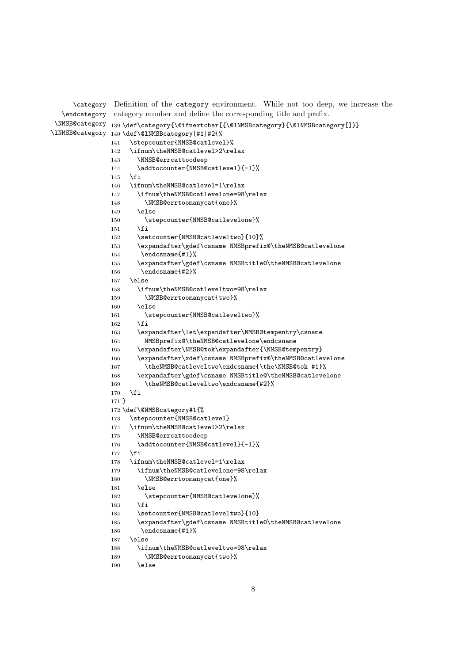```
\category
Definition of the category environment. While not too deep, we increase the
  \endcategory
category number and define the corresponding title and prefix.
\NMSB@category
139 \def\category{\@ifnextchar[{\@lNMSBcategory}{\@lNMSBcategory[]}}
\lNMSB@category
140 \def\@lNMSBcategory[#1]#2{%
               141 \stepcounter{NMSB@catlevel}%
               142 \ifnum\theNMSB@catlevel>2\relax
               143 \NMSB@errcattoodeep
               144 \addtocounter{NMSB@catlevel}{-1}%
               145 \fi
               146 \ifnum\theNMSB@catlevel=1\relax
               147 \ifnum\theNMSB@catlevelone=98\relax
               148 \NMSB@errtoomanycat{one}%
               149 \else
               150 \stepcounter{NMSB@catlevelone}%
               151 \fi
               152 \setcounter{NMSB@catleveltwo}{10}%
               153 \expandafter\gdef\csname NMSBprefix@\theNMSB@catlevelone
               154 \endcsname{#1}%
               155 \expandafter\gdef\csname NMSBtitle@\theNMSB@catlevelone
               156 \endcsname{#2}%
               157 \else
               158 \ifnum\theNMSB@catleveltwo=98\relax
               159 \NMSB@errtoomanycat{two}%
               160 \else
               161 \stepcounter{NMSB@catleveltwo}%
               162 \qquadi
               163 \expandafter\let\expandafter\NMSB@tempentry\csname
               164 NMSBprefix@\theNMSB@catlevelone\endcsname
               165 \expandafter\NMSB@tok\expandafter{\NMSB@tempentry}
               166 \expandafter\xdef\csname NMSBprefix@\theNMSB@catlevelone
               167 \theNMSB@catleveltwo\endcsname{\the\NMSB@tok #1}%
               168 \expandafter\gdef\csname NMSBtitle@\theNMSB@catlevelone
               169 \theNMSB@catleveltwo\endcsname{#2}%
               170 \foralli
              171 }
              172 \def\@NMSBcategory#1{%
              173 \stepcounter{NMSB@catlevel}
              174 \ifnum\theNMSB@catlevel>2\relax
               175 \NMSB@errcattoodeep
               176 \addtocounter{NMSB@catlevel}{-1}%
               177 \fi
               178 \ifnum\theNMSB@catlevel=1\relax
               179 \ifnum\theNMSB@catlevelone=98\relax
               180 \NMSB@errtoomanycat{one}%
               181 \else
               182 \stepcounter{NMSB@catlevelone}%
               183 \fi
               184 \setcounter{NMSB@catleveltwo}{10}
               185 \expandafter\gdef\csname NMSBtitle@\theNMSB@catlevelone
               186 \endcsname{#1}%
               187 \else
               188 \ifnum\theNMSB@catleveltwo=98\relax
               189 \NMSB@errtoomanycat{two}%
               190 \else
```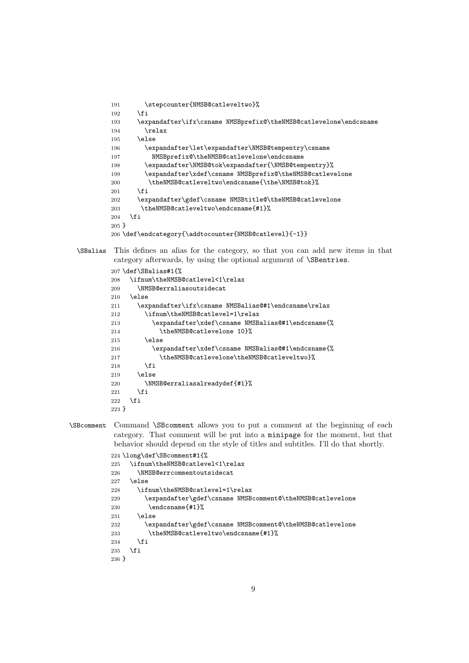```
191 \stepcounter{NMSB@catleveltwo}%
192 \fi
193 \expandafter\ifx\csname NMSBprefix@\theNMSB@catlevelone\endcsname
194 \relax
195 \else
196 \expandafter\let\expandafter\NMSB@tempentry\csname
197 NMSBprefix@\theNMSB@catlevelone\endcsname
198 \expandafter\NMSB@tok\expandafter{\NMSB@tempentry}%
199 \expandafter\xdef\csname NMSBprefix@\theNMSB@catlevelone
200 \theNMSB@catleveltwo\endcsname{\the\NMSB@tok}%
201 \fi
202 \expandafter\gdef\csname NMSBtitle@\theNMSB@catlevelone
203 \theNMSB@catleveltwo\endcsname{#1}%
204 \fi
205 }
206 \def\endcategory{\addtocounter{NMSB@catlevel}{-1}}
```
\SBalias This defines an alias for the category, so that you can add new items in that category afterwards, by using the optional argument of \SBentries.

```
207 \def\SBalias#1{%
208 \ifnum\theNMSB@catlevel<1\relax
209 \NMSB@erraliasoutsidecat
210 \else
211 \expandafter\ifx\csname NMSBalias@#1\endcsname\relax
212 \ifnum\theNMSB@catlevel=1\relax
213 \expandafter\xdef\csname NMSBalias@#1\endcsname{%
214 \theNMSB@catlevelone 10}%
215 \else
216 \expandafter\xdef\csname NMSBalias@#1\endcsname{%
217 \theNMSB@catlevelone\theNMSB@catleveltwo}%
218 \overline{18}219 \else
220 \NMSB@erraliasalreadydef{#1}%
221 \ifmmode \overline{\text{721}}\else \times 121 \times 121 \times 121 \times 121 \times 121 \times 121 \times 121 \times 121 \times 121 \times 121 \times 121 \times 121 \times 121 \times 121 \times 121 \times 121 \times 121 \times 121 
222 \setminusfi
223 }
```
\SBcomment Command \SBcomment allows you to put a comment at the beginning of each category. That comment will be put into a minipage for the moment, but that behavior should depend on the style of titles and subtitles. I'll do that shortly.

```
224 \long\def\SBcomment#1{%
225 \ifnum\theNMSB@catlevel<1\relax
226 \NMSB@errcommentoutsidecat
227 \else
228 \ifnum\theNMSB@catlevel=1\relax
229 \expandafter\gdef\csname NMSBcomment@\theNMSB@catlevelone
230 \endcsname{#1}%
231 \sqrt{e} \sqrt{25}232 \expandafter\gdef\csname NMSBcomment@\theNMSB@catlevelone
233 \theNMSB@catleveltwo\endcsname{#1}%
234 \fi
235 \fi
236 }
```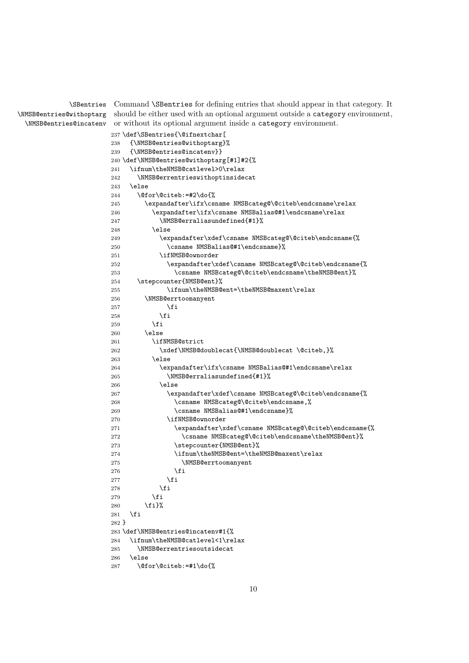\SBentries \NMSB@entries@withoptarg \NMSB@entries@incatenv

Command \SBentries for defining entries that should appear in that category. It should be either used with an optional argument outside a category environment, or without its optional argument inside a category environment.

```
237 \def\SBentries{\@ifnextchar[
238 {\NMSB@entries@withoptarg}%
239 {\NMSB@entries@incatenv}}
240 \def\NMSB@entries@withoptarg[#1]#2{%
241 \ifnum\theNMSB@catlevel>0\relax
242 \NMSB@errentrieswithoptinsidecat
243 \else
244 \@for\@citeb:=#2\do{%
245 \expandafter\ifx\csname NMSBcateg@\@citeb\endcsname\relax
246 \expandafter\ifx\csname NMSBalias@#1\endcsname\relax
247 \NMSB@erraliasundefined{#1}%
248 \else
249 \expandafter\xdef\csname NMSBcateg@\@citeb\endcsname{%
250 \csname NMSBalias@#1\endcsname}%
251 \ifNMSB@ownorder
252 \expandafter\xdef\csname NMSBcateg@\@citeb\endcsname{%
253 \csname NMSBcateg@\@citeb\endcsname\theNMSB@ent}%
254 \stepcounter{NMSB@ent}%
255 \ifnum\theNMSB@ent=\theNMSB@maxent\relax
256 \NMSB@errtoomanyent
257 \fi
258 \overline{1}259 \setminusfi
260 \else
261 \ifNMSB@strict
262 \xdef\NMSB@doublecat{\NMSB@doublecat \@citeb,}%
263 \else
264 \expandafter\ifx\csname NMSBalias@#1\endcsname\relax
265 \NMSB@erraliasundefined{#1}%
266 \else
267 \expandafter\xdef\csname NMSBcateg@\@citeb\endcsname{%
268 \csname NMSBcateg@\@citeb\endcsname,%
269 \csname NMSBalias@#1\endcsname}%
270 \ifNMSB@ownorder
271 \expandafter\xdef\csname NMSBcateg@\@citeb\endcsname{%
272 \csname NMSBcateg@\@citeb\endcsname\theNMSB@ent}%
273 \stepcounter{NMSB@ent}%
274 \ifnum\theNMSB@ent=\theNMSB@maxent\relax
275 \NMSB@errtoomanyent
276 \quad \text{tri}277 \fi
278 \setminusfi
279 \setminusfi
280 \fi}%
281 \overline{1}282 }
283 \def\NMSB@entries@incatenv#1{%
284 \ifnum\theNMSB@catlevel<1\relax
285 \NMSB@errentriesoutsidecat
286 \else
287 \@for\@citeb:=#1\do{%
```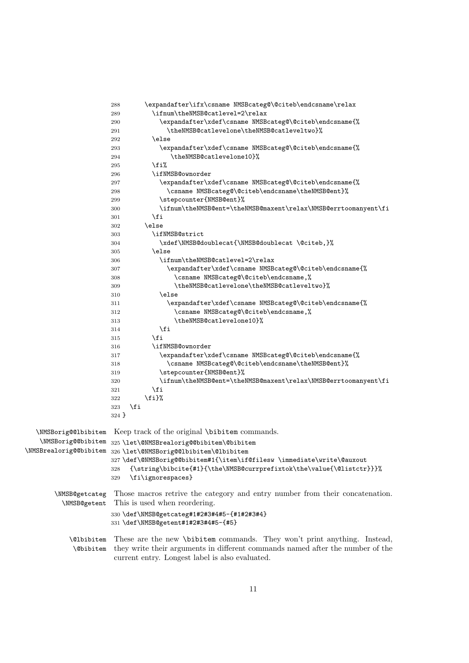|                        | \expandafter\ifx\csname NMSBcateg@\@citeb\endcsname\relax<br>288<br>\ifnum\theNMSB@catlevel=2\relax<br>289 |
|------------------------|------------------------------------------------------------------------------------------------------------|
|                        | \expandafter\xdef\csname NMSBcateg@\@citeb\endcsname{%<br>290                                              |
|                        | \theNMSB@catlevelone\theNMSB@catleveltwo}%<br>291                                                          |
|                        | \else<br>292                                                                                               |
|                        | \expandafter\xdef\csname NMSBcateg@\@citeb\endcsname{%<br>293                                              |
|                        | \theNMSB@catlevelone10}%<br>294                                                                            |
|                        | \fi%<br>295                                                                                                |
|                        | \ifNMSB@ownorder<br>296                                                                                    |
|                        | \expandafter\xdef\csname NMSBcateg@\@citeb\endcsname{%<br>297                                              |
|                        | \csname NMSBcateg@\@citeb\endcsname\theNMSB@ent}%<br>298                                                   |
|                        | \stepcounter{NMSB@ent}%<br>299                                                                             |
|                        | \ifnum\theNMSB@ent=\theNMSB@maxent\relax\NMSB@errtoomanyent\fi<br>300                                      |
|                        | \fi<br>301                                                                                                 |
|                        | \else<br>302                                                                                               |
|                        | \ifNMSB@strict<br>303                                                                                      |
|                        | \xdef\NMSB@doublecat{\NMSB@doublecat \@citeb,}%<br>304                                                     |
|                        | \else<br>305                                                                                               |
|                        | \ifnum\theNMSB@catlevel=2\relax<br>306                                                                     |
|                        | \expandafter\xdef\csname NMSBcateg@\@citeb\endcsname{%<br>307                                              |
|                        | \csname NMSBcateg@\@citeb\endcsname,%<br>308                                                               |
|                        | \theNMSB@catlevelone\theNMSB@catleveltwo}%<br>309                                                          |
|                        | \else<br>310                                                                                               |
|                        | \expandafter\xdef\csname NMSBcateg@\@citeb\endcsname{%<br>311                                              |
|                        | \csname NMSBcateg@\@citeb\endcsname,%<br>312                                                               |
|                        | \theNMSB@catlevelone10}%<br>313                                                                            |
|                        | \fi<br>314                                                                                                 |
|                        | \fi<br>315                                                                                                 |
|                        | \ifNMSB@ownorder<br>316                                                                                    |
|                        | \expandafter\xdef\csname NMSBcateg@\@citeb\endcsname{%<br>317                                              |
|                        | \csname NMSBcateg@\@citeb\endcsname\theNMSB@ent}%<br>318                                                   |
|                        | \stepcounter{NMSB@ent}%<br>319                                                                             |
|                        | \ifnum\theNMSB@ent=\theNMSB@maxent\relax\NMSB@errtoomanyent\fi<br>320                                      |
|                        | \fi<br>321                                                                                                 |
|                        | \fi}%<br>322                                                                                               |
|                        | \fi<br>323                                                                                                 |
|                        | $324$ }                                                                                                    |
|                        |                                                                                                            |
| \NMSBorig@@lbibitem    | Keep track of the original <i>\bibitem</i> commands.                                                       |
| \NMSBorig@@bibitem     | 325 \let\@NMSBrealorig@@bibitem\@bibitem                                                                   |
| \NMSBrealorig@@bibitem | 326 \let\@NMSBorig@@lbibitem\@lbibitem                                                                     |
|                        | 327\def\@NMSBorig@@bibitem#1{\item\if@filesw \immediate\write\@auxout                                      |
|                        | {\string\bibcite{#1}{\the\NMSB@currprefixtok\the\value{\@listctr}}}%<br>328                                |
|                        | \fi\ignorespaces}<br>329                                                                                   |
|                        |                                                                                                            |
| \NMSB@getcateg         | Those macros retrive the category and entry number from their concatenation.                               |
| \NMSB@getent           | This is used when reordering.                                                                              |
|                        | 330 \def\NMSB@getcateg#1#2#3#4#5-{#1#2#3#4}                                                                |
|                        | 331 \def\NMSB@getent#1#2#3#4#5-{#5}                                                                        |
|                        |                                                                                                            |
| <b>\@lbibitem</b>      | These are the new <i>\bibitem</i> commands. They won't print anything. Instead,                            |
| <b>\@bibitem</b>       | they write their arguments in different commands named after the number of the                             |
|                        | current entry. Longest label is also evaluated.                                                            |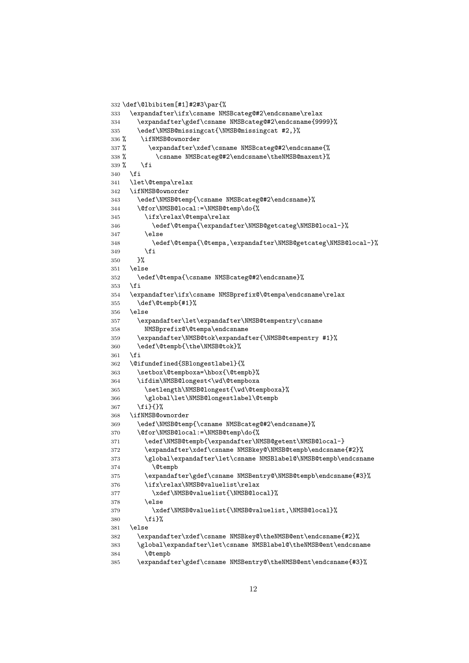```
332 \def\@lbibitem[#1]#2#3\par{%
333 \expandafter\ifx\csname NMSBcateg@#2\endcsname\relax
334 \expandafter\gdef\csname NMSBcateg@#2\endcsname{9999}%
335 \edef\NMSB@missingcat{\NMSB@missingcat #2,}%
336 % \ifNMSB@ownorder
337 % \expandafter\xdef\csname NMSBcateg@#2\endcsname{%
338 % \csname NMSBcateg@#2\endcsname\theNMSB@maxent}%
339 % \fi
340 \fi
341 \let\@tempa\relax
342 \ifNMSB@ownorder
343 \edef\NMSB@temp{\csname NMSBcateg@#2\endcsname}%
344 \@for\NMSB@local:=\NMSB@temp\do{%
345 \ifx\relax\@tempa\relax
346 \edef\@tempa{\expandafter\NMSB@getcateg\NMSB@local-}%
347 \else
348 \edef\@tempa{\@tempa,\expandafter\NMSB@getcateg\NMSB@local-}%
349 \fi
350 }%
351 \else
352 \edef\@tempa{\csname NMSBcateg@#2\endcsname}%
353 \fi
354 \expandafter\ifx\csname NMSBprefix@\@tempa\endcsname\relax
355 \def\@tempb{#1}%
356 \else
357 \expandafter\let\expandafter\NMSB@tempentry\csname
358 NMSBprefix@\@tempa\endcsname
359 \expandafter\NMSB@tok\expandafter{\NMSB@tempentry #1}%
360 \edef\@tempb{\the\NMSB@tok}%
361 \fi
362 \@ifundefined{SBlongestlabel}{%
363 \setbox\@tempboxa=\hbox{\@tempb}%
364 \ifdim\NMSB@longest<\wd\@tempboxa
365 \setlength\NMSB@longest{\wd\@tempboxa}%
366 \global\let\NMSB@longestlabel\@tempb
367 \fi}{}%
368 \ifNMSB@ownorder
369 \edef\NMSB@temp{\csname NMSBcateg@#2\endcsname}%
370 \@for\NMSB@local:=\NMSB@temp\do{%
371 \edef\NMSB@tempb{\expandafter\NMSB@getent\NMSB@local-}
372 \expandafter\xdef\csname NMSBkey@\NMSB@tempb\endcsname{#2}%
373 \global\expandafter\let\csname NMSBlabel@\NMSB@tempb\endcsname
374 \@tempb
375 \expandafter\gdef\csname NMSBentry@\NMSB@tempb\endcsname{#3}%
376 \ifx\relax\NMSB@valuelist\relax
377 \xdef\NMSB@valuelist{\NMSB@local}%
378 \else
379 \xdef\NMSB@valuelist{\NMSB@valuelist,\NMSB@local}%
380 \fi}%
381 \else
382 \expandafter\xdef\csname NMSBkey@\theNMSB@ent\endcsname{#2}%
383 \global\expandafter\let\csname NMSBlabel@\theNMSB@ent\endcsname
384 \@tempb
385 \expandafter\gdef\csname NMSBentry@\theNMSB@ent\endcsname{#3}%
```

```
12
```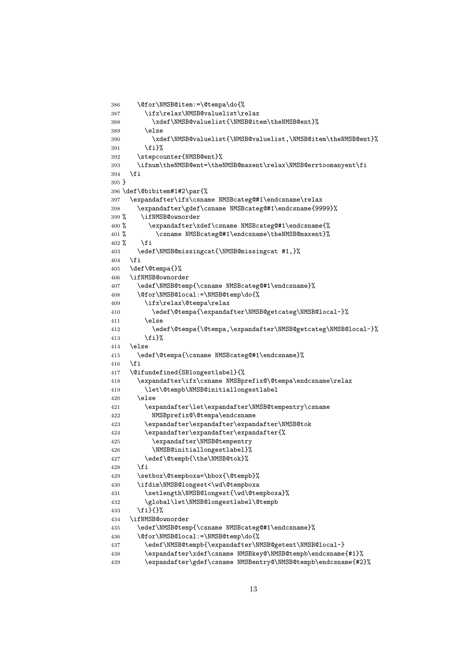```
386 \@for\NMSB@item:=\@tempa\do{%
387 \ifx\relax\NMSB@valuelist\relax
388 \xdef\NMSB@valuelist{\NMSB@item\theNMSB@ent}%
389 \else
390 \xdef\NMSB@valuelist{\NMSB@valuelist,\NMSB@item\theNMSB@ent}%
391 \fi}%
392 \stepcounter{NMSB@ent}%
393 \ifnum\theNMSB@ent=\theNMSB@maxent\relax\NMSB@errtoomanyent\fi
394 \fi
395 }
396 \def\@bibitem#1#2\par{%
397 \expandafter\ifx\csname NMSBcateg@#1\endcsname\relax
398 \expandafter\gdef\csname NMSBcateg@#1\endcsname{9999}%
399 % \ifNMSB@ownorder
400 % \expandafter\xdef\csname NMSBcateg@#1\endcsname{%
401 % \csname NMSBcateg@#1\endcsname\theNMSB@maxent}%
402\% \fi
403 \edef\NMSB@missingcat{\NMSB@missingcat #1,}%
404 \fi
405 \def\@tempa{}%
406 \ifNMSB@ownorder
407 \edef\NMSB@temp{\csname NMSBcateg@#1\endcsname}%
408 \@for\NMSB@local:=\NMSB@temp\do{%
409 \ifx\relax\@tempa\relax
410 \edef\@tempa{\expandafter\NMSB@getcateg\NMSB@local-}%
411 \else
412 \edef\@tempa{\@tempa,\expandafter\NMSB@getcateg\NMSB@local-}%
413 \{f_i\}%
414 \else
415 \edef\@tempa{\csname NMSBcateg@#1\endcsname}%
416 \fi
417 \@ifundefined{SBlongestlabel}{%
418 \expandafter\ifx\csname NMSBprefix@\@tempa\endcsname\relax
419 \let\@tempb\NMSB@initiallongestlabel
420 \else
421 \expandafter\let\expandafter\NMSB@tempentry\csname
422 NMSBprefix@\@tempa\endcsname
423 \expandafter\expandafter\expandafter\NMSB@tok
424 \expandafter\expandafter\expandafter{%
425 \expandafter\NMSB@tempentry
426 \NMSB@initiallongestlabel}%
427 \edef\@tempb{\the\NMSB@tok}%
428 \fi
429 \setbox\@tempboxa=\hbox{\@tempb}%
430 \ifdim\NMSB@longest<\wd\@tempboxa
431 \setlength\NMSB@longest{\wd\@tempboxa}%
432 \global\let\NMSB@longestlabel\@tempb
433 \fi}{}%
434 \ifNMSB@ownorder
435 \edef\NMSB@temp{\csname NMSBcateg@#1\endcsname}%
436 \@for\NMSB@local:=\NMSB@temp\do{%
437 \edef\NMSB@tempb{\expandafter\NMSB@getent\NMSB@local-}
438 \expandafter\xdef\csname NMSBkey@\NMSB@tempb\endcsname{#1}%
439 \expandafter\gdef\csname NMSBentry@\NMSB@tempb\endcsname{#2}%
```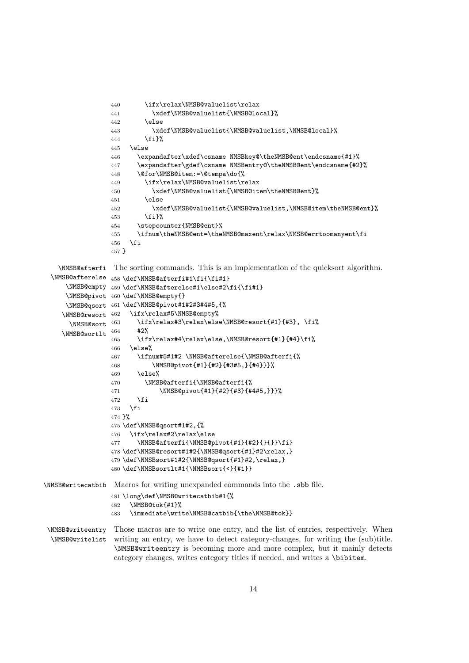```
440 \ifx\relax\NMSB@valuelist\relax
                 441 \xdef\NMSB@valuelist{\NMSB@local}%
                 442 \else
                 443 \xdef\NMSB@valuelist{\NMSB@valuelist,\NMSB@local}%
                 444 \fi}%
                 445 \else
                 446 \expandafter\xdef\csname NMSBkey@\theNMSB@ent\endcsname{#1}%
                 447 \expandafter\gdef\csname NMSBentry@\theNMSB@ent\endcsname{#2}%
                 448 \@for\NMSB@item:=\@tempa\do{%
                 449 \ifx\relax\NMSB@valuelist\relax
                 450 \xdef\NMSB@valuelist{\NMSB@item\theNMSB@ent}%
                 451 \else
                 452 \xdef\NMSB@valuelist{\NMSB@valuelist,\NMSB@item\theNMSB@ent}%
                 453 \fi}%
                 454 \stepcounter{NMSB@ent}%
                 455 \ifnum\theNMSB@ent=\theNMSB@maxent\relax\NMSB@errtoomanyent\fi
                 456 \fi
                 457 }
   \NMSB@afterfi
The sorting commands. This is an implementation of the quicksort algorithm.
  \NMSB@afterelse 458 \def\NMSB@afterfi#1\fi{\fi#1}
     \NMSB@empty 459\def\NMSB@afterelse#1\else#2\fi{\fi#1}
     \NMSB@pivot
460 \def\NMSB@empty{}
     \NMSB@qsort
461 \def\NMSB@pivot#1#2#3#4#5,{%
    \NMSB@resort 462
      \text{NMSB@sort} 463
    \NMSB@sortlt ^{464} #2%
                      \ifx\relax#5\NMSB@empty%
                        \ifx\relax#3\relax\else\NMSB@resort{#1}{#3}, \fi%
                 465 \ifx\relax#4\relax\else,\NMSB@resort{#1}{#4}\fi%
                 466 \else%
                 467 \ifnum#5#1#2 \NMSB@afterelse{\NMSB@afterfi{%
                 468 \NMSB@pivot{#1}{#2}{#3#5,}{#4}}}%
                 469 \else%
                 470 \NMSB@afterfi{\NMSB@afterfi{%
                 471 \NMSB@pivot{#1}{#2}{#3}{#4#5,}}}%
                 472 \fi
                 473 \fi
                 474 }%
                 475 \def\NMSB@qsort#1#2,{%
                 476 \ifx\relax#2\relax\else
                 477 \NMSB@afterfi{\NMSB@pivot{#1}{#2}{}{}}\fi}
                 478 \def\NMSB@resort#1#2{\NMSB@qsort{#1}#2\relax,}
                 479 \def\NMSBsort#1#2{\NMSB@qsort{#1}#2,\relax,}
                 480 \def\NMSBsortlt#1{\NMSBsort{<}{#1}}
\NMSB@writecatbib Macros for writing unexpanded commands into the .sbb file.
                 481 \long\def\NMSB@writecatbib#1{%
                 482 \NMSB@tok{#1}%<br>483 \immediate\writ
                      \immediate\write\NMSB@catbib{\the\NMSB@tok}}
 \NMSB@writeentry
Those macros are to write one entry, and the list of entries, respectively. When
  \NMSB@writelist
writing an entry, we have to detect category-changes, for writing the (sub)title.
                  \NMSB@writeentry is becoming more and more complex, but it mainly detects
                  category changes, writes category titles if needed, and writes a \bibitem.
```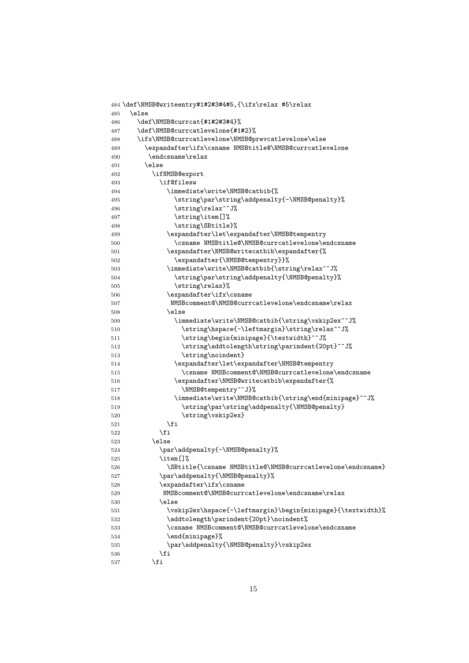```
484 \def\NMSB@writeentry#1#2#3#4#5,{\ifx\relax #5\relax
485 \else
486 \def\NMSB@currcat{#1#2#3#4}%
487 \def\NMSB@currcatlevelone{#1#2}%
488 \ifx\NMSB@currcatlevelone\NMSB@prevcatlevelone\else
489 \expandafter\ifx\csname NMSBtitle@\NMSB@currcatlevelone
490 \endcsname\relax
491 \else
492 \ifNMSB@export
493 \if@filesw
494 \immediate\write\NMSB@catbib{%
495 \string\par\string\addpenalty{-\NMSB@penalty}%
496 \string\relax^^J%
497 \string\item[]%
498 \string\SBtitle}%
499 \expandafter\let\expandafter\NMSB@tempentry
500 \csname NMSBtitle@\NMSB@currcatlevelone\endcsname
501 \expandafter\NMSB@writecatbib\expandafter{%
502 \expandafter{\NMSB@tempentry}}%
503 \immediate\write\NMSB@catbib{\string\relax^^J%
504 \string\par\string\addpenalty{\NMSB@penalty}%
505 \string\relax}%
506 \expandafter\ifx\csname
507 MMSBcomment@\NMSB@currcatlevelone\endcsname\relax
508 \else
509 \immediate\write\NMSB@catbib{\string\vskip2ex^^J%
510 \string\hspace{-\leftmargin}\string\relax^^J%
511 \string\begin{minipage}{\textwidth}^^J%
512 \string\addtolength\string\parindent{20pt}^^J%
513 \string\noindent}
514 \expandafter\let\expandafter\NMSB@tempentry
515 \csname NMSBcomment@\NMSB@currcatlevelone\endcsname
516 \expandafter\NMSB@writecatbib\expandafter{%
517 \NMSB@tempentry^^J}%
518 \immediate\write\NMSB@catbib{\string\end{minipage}^^J%
519 \string\par\string\addpenalty{\NMSB@penalty}
520 \string\vskip2ex}
521 \overline{\phantom{a}} \fi
522 \qquad \qquad \text{if }523 \else
524 \par\addpenalty{-\NMSB@penalty}%
525 \item[]%
526 \SBtitle{\csname NMSBtitle@\NMSB@currcatlevelone\endcsname}
527 \par\addpenalty{\NMSB@penalty}%
528 \expandafter\ifx\csname
529 NMSBcomment@\NMSB@currcatlevelone\endcsname\relax
530 \else
531 \vskip2ex\hspace{-\leftmargin}\begin{minipage}{\textwidth}%
532 \addtolength\parindent{20pt}\noindent%
533 \csname NMSBcomment@\NMSB@currcatlevelone\endcsname
534 \end{minipage}%
535 \par\addpenalty{\NMSB@penalty}\vskip2ex
536 \quad \text{If} \quad \blacksquare537 \qquad \qquad \fi
```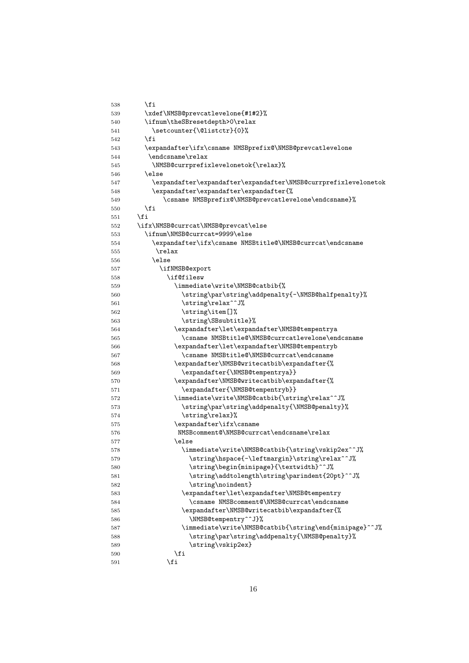```
538 \fi
539 \xdef\NMSB@prevcatlevelone{#1#2}%
540 \ifnum\theSBresetdepth>0\relax
541 \setcounter{\@listctr}{0}%
542 \fi
543 \expandafter\ifx\csname NMSBprefix@\NMSB@prevcatlevelone
544 \endcsname\relax
545 \NMSB@currprefixlevelonetok{\relax}%
546 \text{le}547 \expandafter\expandafter\expandafter\NMSB@currprefixlevelonetok
548 \expandafter\expandafter\expandafter{%
549 \csname NMSBprefix@\NMSB@prevcatlevelone\endcsname}%
550 \quad \text{Vfi}551 \fi
552 \ifx\NMSB@currcat\NMSB@prevcat\else
553 \ifnum\NMSB@currcat=9999\else
554 \expandafter\ifx\csname NMSBtitle@\NMSB@currcat\endcsname
555 \relax
556 \else
557 \ifNMSB@export
558 \if@filesw
559 \immediate\write\NMSB@catbib{%
560 \string\par\string\addpenalty{-\NMSB@halfpenalty}%
561 \string\relax^^J%
562 \string\item[]%
563 \string\SBsubtitle}%
564 \expandafter\let\expandafter\NMSB@tempentrya
565 \csname NMSBtitle@\NMSB@currcatlevelone\endcsname
566 \expandafter\let\expandafter\NMSB@tempentryb
567 \csname NMSBtitle@\NMSB@currcat\endcsname
568 \expandafter\NMSB@writecatbib\expandafter{%
569 \expandafter{\NMSB@tempentrya}}
570 \expandafter\NMSB@writecatbib\expandafter{%
571 \expandafter{\NMSB@tempentryb}}
572 \immediate\write\NMSB@catbib{\string\relax^^J%
573 \string\par\string\addpenalty{\NMSB@penalty}%
574 \string\relax}%
575 \expandafter\ifx\csname
576 MMSBcomment@\NMSB@currcat\endcsname\relax
577 \else
578 \immediate\write\NMSB@catbib{\string\vskip2ex^^J%
579 \string\hspace{-\leftmargin}\string\relax^^J%
580 \string\begin{minipage}{\textwidth}^^J%
581 \string\addtolength\string\parindent{20pt}^^J%
582 \string\noindent}
583 \expandafter\let\expandafter\NMSB@tempentry
584 \csname NMSBcomment@\NMSB@currcat\endcsname
585 \expandafter\NMSB@writecatbib\expandafter{%
586 \NMSB@tempentry^^J}%
587 \immediate\write\NMSB@catbib{\string\end{minipage}^^J%
588 \string\par\string\addpenalty{\NMSB@penalty}%
589 \string\vskip2ex}
590 \quad \text{if} \quad591 \setminusfi
```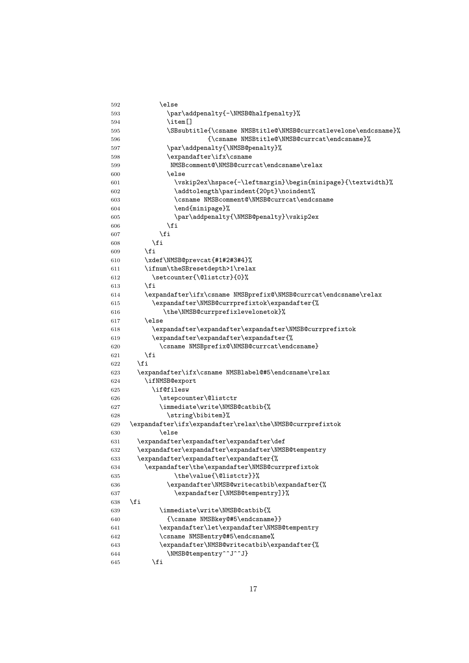```
593 \par\addpenalty{-\NMSB@halfpenalty}%
594 \item[]
595 \SBsubtitle{\csname NMSBtitle@\NMSB@currcatlevelone\endcsname}%
596 {\csname NMSBtitle@\NMSB@currcat\endcsname}%
597 \par\addpenalty{\NMSB@penalty}%
598 \expandafter\ifx\csname
599 NMSBcomment@\NMSB@currcat\endcsname\relax
600 \else
601 \vskip2ex\hspace{-\leftmargin}\begin{minipage}{\textwidth}%
602 \addtolength\parindent{20pt}\noindent%
603 \csname NMSBcomment@\NMSB@currcat\endcsname
604 \end{minipage}%
605 \par\addpenalty{\NMSB@penalty}\vskip2ex
606 \fi
607 \fi
608 \fi
609 \overrightarrow{fi}610 \xdef\NMSB@prevcat{#1#2#3#4}%
611 \ifnum\theSBresetdepth>1\relax
612 \setcounter{\@listctr}{0}%
613 \fi
614 \expandafter\ifx\csname NMSBprefix@\NMSB@currcat\endcsname\relax
615 \expandafter\NMSB@currprefixtok\expandafter{%
616 \the\NMSB@currprefixlevelonetok}%
617 \else
618 \expandafter\expandafter\expandafter\NMSB@currprefixtok
619 \expandafter\expandafter\expandafter{%
620 \csname NMSBprefix@\NMSB@currcat\endcsname}
621 \fi
622 \fi
623 \expandafter\ifx\csname NMSBlabel@#5\endcsname\relax
624 \ifNMSB@export
625 \if@filesw
626 \stepcounter\@listctr
627 \immediate\write\NMSB@catbib{%
628 \string\bibitem}%
629 \expandafter\ifx\expandafter\relax\the\NMSB@currprefixtok
630 \else
631 \expandafter\expandafter\expandafter\def
632 \expandafter\expandafter\expandafter\NMSB@tempentry
633 \expandafter\expandafter\expandafter{%
634 \expandafter\the\expandafter\NMSB@currprefixtok
635 \the\value{\@listctr}}%
636 \expandafter\NMSB@writecatbib\expandafter{%
637 \expandafter[\NMSB@tempentry]}%
638 \fi
639 \immediate\write\NMSB@catbib{%
640 {\csname NMSBkey@#5\endcsname}}
641 \expandafter\let\expandafter\NMSB@tempentry
642 \csname NMSBentry@#5\endcsname%
643 \expandafter\NMSB@writecatbib\expandafter{%
644 \NMSB@tempentry^^J^^J}
645 \fi
```
 $592 \qquad \qquad \text{black}$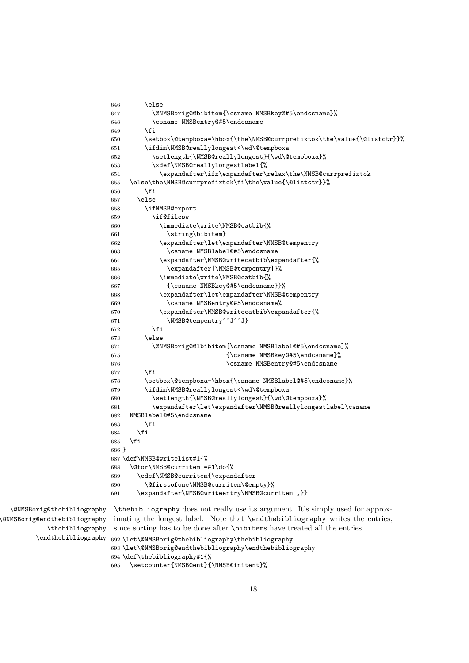```
646 \sqrt{e} \sqrt{e}647 \@NMSBorig@@bibitem{\csname NMSBkey@#5\endcsname}%
648 \csname NMSBentry@#5\endcsname
649 \fi
650 \setbox\@tempboxa=\hbox{\the\NMSB@currprefixtok\the\value{\@listctr}}%
651 \ifdim\NMSB@reallylongest<\wd\@tempboxa
652 \setlength{\NMSB@reallylongest}{\wd\@tempboxa}%
653 \xdef\NMSB@reallylongestlabel{%
654 \expandafter\ifx\expandafter\relax\the\NMSB@currprefixtok
655 \else\the\NMSB@currprefixtok\fi\the\value{\@listctr}}%
656 \fi
657 \text{A}658 \ifNMSB@export
659 \if@filesw
660 \immediate\write\NMSB@catbib{%
661 \string\bibitem}
662 \expandafter\let\expandafter\NMSB@tempentry
663 \csname NMSBlabel@#5\endcsname
664 \expandafter\NMSB@writecatbib\expandafter{%
665 \expandafter[\NMSB@tempentry]}%
666 \immediate\write\NMSB@catbib{%
667 {\csname NMSBkey@#5\endcsname}}%
668 \expandafter\let\expandafter\NMSB@tempentry
669 \csname NMSBentry@#5\endcsname%
670 \expandafter\NMSB@writecatbib\expandafter{%
671 \NMSB@tempentry^^J^^J}
672 \fi
673 \else
674 \@NMSBorig@@lbibitem[\csname NMSBlabel@#5\endcsname]%
675 {\csname NMSBkey@#5\endcsname}%
676 \csname NMSBentry@#5\endcsname
677 \fi
678 \setbox\@tempboxa=\hbox{\csname NMSBlabel@#5\endcsname}%
679 \ifdim\NMSB@reallylongest<\wd\@tempboxa
680 \setlength{\NMSB@reallylongest}{\wd\@tempboxa}%
681 \expandafter\let\expandafter\NMSB@reallylongestlabel\csname
682 NMSBlabel@#5\endcsname
683 \fi
684 \fi
685 \fi
686 }
687 \def\NMSB@writelist#1{%
688 \@for\NMSB@curritem:=#1\do{%
689 \edef\NMSB@curritem{\expandafter
690 \@firstofone\NMSB@curritem\@empty}%
691 \expandafter\NMSB@writeentry\NMSB@curritem ,}}
```
\@NMSBorig@thebibliography \@NMSBorig@endthebibliography \thebibliography \endthebibliography \thebibliography does not really use its argument. It's simply used for approximating the longest label. Note that \endthebibliography writes the entries, since sorting has to be done after \bibitems have treated all the entries.

```
692 \let\@NMSBorig@thebibliography\thebibliography
693 \let\@NMSBorig@endthebibliography\endthebibliography
694 \def\thebibliography#1{%
695 \setcounter{NMSB@ent}{\NMSB@initent}%
```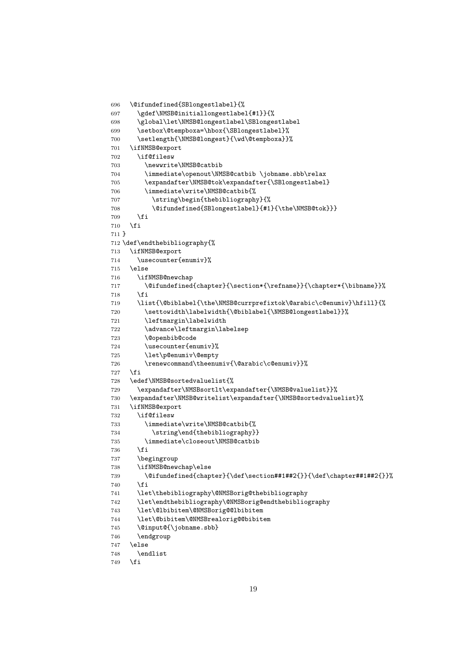```
697 \gdef\NMSB@initiallongestlabel{#1}}{%
698 \global\let\NMSB@longestlabel\SBlongestlabel
699 \setbox\@tempboxa=\hbox{\SBlongestlabel}%
700 \setlength{\NMSB@longest}{\wd\@tempboxa}}%
701 \ifNMSB@export
702 \if@filesw
703 \newwrite\NMSB@catbib
704 \immediate\openout\NMSB@catbib \jobname.sbb\relax
705 \expandafter\NMSB@tok\expandafter{\SBlongestlabel}
706 \immediate\write\NMSB@catbib{%
707 \string\begin{thebibliography}{%
708 \@ifundefined{SBlongestlabel}{#1}{\the\NMSB@tok}}}
709 \fi
710 \fi
711 }
712 \def\endthebibliography{%
713 \ifNMSB@export
714 \usecounter{enumiv}%
715 \else
716 \ifNMSB@newchap
717 \@ifundefined{chapter}{\section*{\refname}}{\chapter*{\bibname}}%
718 \fi
719 \list{\@biblabel{\the\NMSB@currprefixtok\@arabic\c@enumiv}\hfill}{%
720 \settowidth\labelwidth{\@biblabel{\NMSB@longestlabel}}%
721 \leftmargin\labelwidth
722 \advance\leftmargin\labelsep
723 \@openbib@code
724 \usecounter{enumiv}%
725 \let\p@enumiv\@empty
726 \renewcommand\theenumiv{\@arabic\c@enumiv}}%
727 \fi
728 \edef\NMSB@sortedvaluelist{%
729 \expandafter\NMSBsortlt\expandafter{\NMSB@valuelist}}%
730 \expandafter\NMSB@writelist\expandafter{\NMSB@sortedvaluelist}%
731 \ifNMSB@export
732 \if@filesw
733 \immediate\write\NMSB@catbib{%
734 \string\end{thebibliography}}
735 \immediate\closeout\NMSB@catbib
736 \fi
737 \begingroup
738 \ifNMSB@newchap\else
\label{thm:main} $$739 \@ifundefined{chapter}{\def\set{+#1##2{}}\\{\def\chapter#1##2{}}}\740 \fi
741 \let\thebibliography\@NMSBorig@thebibliography
742 \let\endthebibliography\@NMSBorig@endthebibliography
743 \let\@lbibitem\@NMSBorig@@lbibitem
744 \let\@bibitem\@NMSBrealorig@@bibitem
745 \@input@{\jobname.sbb}
746 \endgroup
747 \else
748 \endlist
```
\@ifundefined{SBlongestlabel}{%

```
749 \fi
```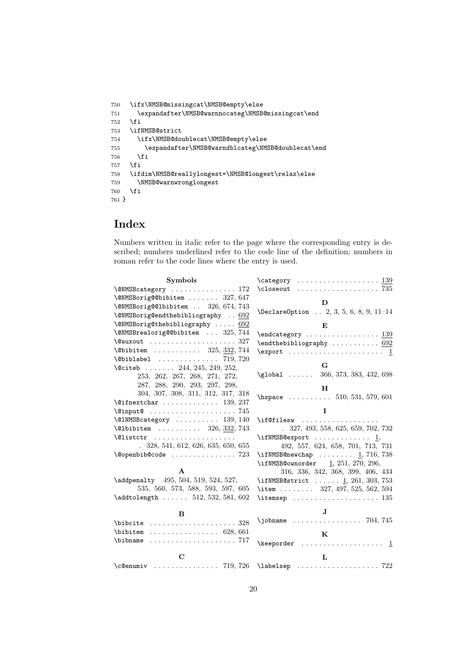```
750 \ifx\NMSB@missingcat\NMSB@empty\else
751 \expandafter\NMSB@warnnocateg\NMSB@missingcat\end
752 \fi
753 \ifNMSB@strict
754 \ifx\NMSB@doublecat\NMSB@empty\else
755 \expandafter\NMSB@warndblcateg\NMSB@doublecat\end
756 \fi
757 \fi
758 \ifdim\NMSB@reallylongest=\NMSB@longest\relax\else
759 \NMSB@warnwronglongest
760 \fi
761 }
```
# Index

Numbers written in italic refer to the page where the corresponding entry is described; numbers underlined refer to the code line of the definition; numbers in roman refer to the code lines where the entry is used.

| Symbols                                                     | $\texttt{category} \dots \dots \dots \dots \dots \dots \ 139$    |
|-------------------------------------------------------------|------------------------------------------------------------------|
| \@NMSBcategory  172                                         |                                                                  |
| \@NMSBorig@@bibitem  327, 647                               |                                                                  |
| \@NMSBorig@@lbibitem  326, 674, 743                         | D                                                                |
| \@NMSBorig@endthebibliography  692                          | $\Delta$ PeclareOption  2, 3, 5, 6, 8, 9, 11-14                  |
| \@NMSBorig@thebibliography $692$                            | E                                                                |
| \@NMSBrealorig@@bibitem  325,744                            | $\end{category} \ldots \ldots \ldots \ldots \ldots$              |
| \@auxout  327                                               | $\end{thebibliography \ldots \ldots \ldots \qquad \frac{692}{ }$ |
| $\Delta$ 0bibitem  325, 332, 744                            | $\text{Vexport} \dots \dots \dots \dots \dots \dots$             |
| $\Delta$ biblabel  719, 720                                 |                                                                  |
| \@citeb  244, 245, 249, 252,                                | G                                                                |
| 253, 262, 267, 268, 271, 272,                               | $\qquad$ 10bal  366, 373, 383, 432, 698                          |
| 287, 288, 290, 293, 297, 298,                               | H                                                                |
| 304, 307, 308, 311, 312, 317, 318                           | \hspace $\ldots \ldots \ldots 510, 531, 579, 601$                |
| $\text{Qifnextchar} \dots \dots \dots \dots \quad 139, 237$ |                                                                  |
| $\varphi$ input $\ldots \ldots \ldots \ldots \ldots 745$    | I                                                                |
| \@1NMSBcategory  139, 140                                   | \if@filesw                                                       |
| $\Delta$ 1bibitem  326, 332, 743                            | $. \quad 327, 493, 558, 625, 659, 702, 732$                      |
| $\text{Cluster}$                                            | $\iint NMSB@export  \ldots  \ldots \underline{1},$               |
| .328, 541, 612, 626, 635, 650, 655                          | 492, 557, 624, 658, 701, 713, 731                                |
| $\text{Qopenbib@code     723}$                              | \ifNMSB@newchap  1, 716, 738                                     |
|                                                             | \ifNMSB@ownorder $\frac{1}{251}$ , 251, 270, 296,                |
| A                                                           | 316, 336, 342, 368, 399, 406, 434                                |
| \addpenalty 495, 504, 519, 524, 527,                        | \ifNMSB@strict $1, 261, 303, 753$                                |
| 535, 560, 573, 588, 593, 597, 605                           | \item  327, 497, 525, 562, 594                                   |
| $\addtolength   512, 532, 581, 602$                         |                                                                  |
| B                                                           | $\mathbf{J}$                                                     |
| $\big\{\n  bit \dots \dots \dots \dots \dots \ 328\n $      | $\infty$ , $\infty$ 704, 745                                     |
| $\lambda$ ibitem  628, 661                                  |                                                                  |
|                                                             | $\bf K$                                                          |
|                                                             | $\kee$ porder  1                                                 |
| $\mathbf C$                                                 | L                                                                |
| $\c$ Oenumiv  719, 726                                      |                                                                  |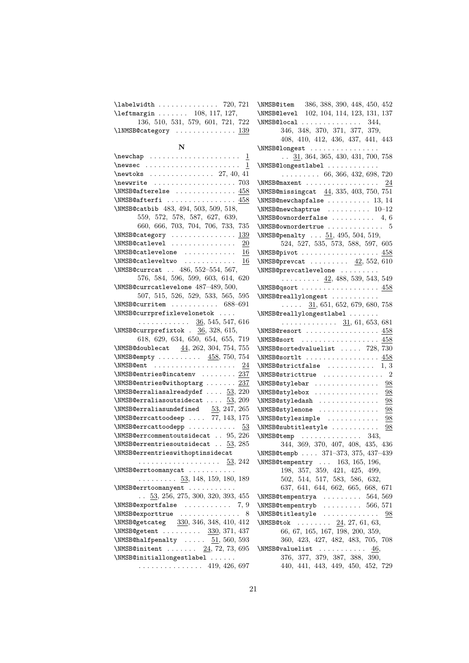| \labelwidth  720, 721                                                            |
|----------------------------------------------------------------------------------|
| $\left\{ \text{the diagram } \ldots \ldots \quad 108, 117, 127, \ldots \right\}$ |
| 136, 510, 531, 579, 601, 721, 722                                                |
| \1NMSB@category  139                                                             |

### N

| $\mathbf{p} \ldots \ldots \ldots \ldots \underline{1}$                                                                     |
|----------------------------------------------------------------------------------------------------------------------------|
| $\text{newsec}$<br>1                                                                                                       |
| \newtoks $\ldots \ldots \ldots 27, 40, 41$                                                                                 |
|                                                                                                                            |
|                                                                                                                            |
| \NMSB@afterfi  458                                                                                                         |
| \NMSB@catbib 483, 494, 503, 509, 518,                                                                                      |
| $\begin{array}{cccc} 559, \ 572, \ 578, \ 587, \ 627, \ 639, \\ 660, \ 666, \ 703, \ 704, \ 706, \ 733, \ 735 \end{array}$ |
|                                                                                                                            |
| \NMSB@category  139                                                                                                        |
| $\MMSB@catlevel$ 20                                                                                                        |
| \NMSB@catlevelone $\underline{16}$                                                                                         |
| \NMSB@catleveltwo $\underline{16}$                                                                                         |
| \NMSB@currcat  486, 552-554, 567,                                                                                          |
| 576, 584, 596, 599, 603, 614, 620                                                                                          |
| \NMSB@currcatlevelone 487-489, 500,                                                                                        |
| 507, 515, 526, 529, 533, 565, 595                                                                                          |
| $\MMSB@currenttem \ldots \ldots \ldots 688-691$                                                                            |
| \NMSB@currprefixlevelonetok                                                                                                |
|                                                                                                                            |
|                                                                                                                            |
| 618, 629, 634, 650, 654, 655, 719                                                                                          |
| \NMSB@doublecat 44, 262, 304, 754, 755                                                                                     |
| \NMSB@empty  458, 750, 754                                                                                                 |
| $\text{NMSB@ent}$ 24                                                                                                       |
| \NMSB@entries@incatenv $237$                                                                                               |
| \NMSB@entries@withoptarg  237                                                                                              |
| $\MMSB@erraliasalreadydef  53, 220$                                                                                        |
| \NMSB@erraliasoutsidecat $\overline{53}$ , 209                                                                             |
| \NMSB@erraliasundefined $53, 247, 265$                                                                                     |
| \NMSB@errcattoodeep  77, 143, 175                                                                                          |
| \NMSB@errcattoodepp  53                                                                                                    |
| $\label{thm:2} \verb+\MMSB@err commentoutsidecat  95, 226$                                                                 |
| \NMSB@errentriesoutsidecat $\ldots$ 53, 285                                                                                |
| \NMSB@errentrieswithoptinsidecat                                                                                           |
|                                                                                                                            |
| \NMSB@errtoomanycat                                                                                                        |
| $\ldots \ldots \ldots$ 53, 148, 159, 180, 189                                                                              |
| \NMSB@errtoomanyent                                                                                                        |
| $\ldots$ 53, 256, 275, 300, 320, 393, 455                                                                                  |
| \NMSB@exportfalse<br>7, 9                                                                                                  |
| \NMSB@exporttrue<br>8                                                                                                      |
| \NMSB@getcateg 330, 346, 348, 410, 412                                                                                     |
| \NMSB@getent  330, 371, 437                                                                                                |
| \NMSB@halfpenalty $\underline{51}$ , 560, 593                                                                              |
| \NMSB@initent $24, 72, 73, 695$                                                                                            |
| \NMSB@initiallongestlabel                                                                                                  |
| . 419, 426, 697                                                                                                            |
|                                                                                                                            |

| \NMSB@item 386, 388, 390, 448, 450, 452                                                                             |
|---------------------------------------------------------------------------------------------------------------------|
| \NMSB@level 102, 104, 114, 123, 131, 137                                                                            |
| $\texttt{NMSB@local}$ 344,                                                                                          |
| 346, 348, 370, 371, 377, 379,                                                                                       |
| 408, 410, 412, 436, 437, 441, 443                                                                                   |
| \NMSB@longest                                                                                                       |
| $\ldots$ 31, 364, 365, 430, 431, 700, 758                                                                           |
| \NMSB@longestlabel                                                                                                  |
| $\ldots \ldots \ldots 66, 366, 432, 698, 720$                                                                       |
| \NMSB@maxent  24                                                                                                    |
| \NMSB@missingcat 44, 335, 403, 750, 751                                                                             |
| $\MMSB@newchapfalse$ 13, 14                                                                                         |
| $\label{thm:subspace} $$\MMSB@newchaptrue  10-12$                                                                   |
| \NMSB@ownorderfalse $4, 6$                                                                                          |
| $\MMSB@ownordertrue$ 5                                                                                              |
| \NMSB@penalty $51, 495, 504, 519,$                                                                                  |
| 524, 527, 535, 573, 588, 597, 605                                                                                   |
|                                                                                                                     |
| $\texttt{NMSB@pivot} \dots \dots \dots \dots \dots \ 458$<br>\NMSB@prevcat $\underline{42}$ , 552, $\overline{610}$ |
|                                                                                                                     |
| \NMSB@prevcatlevelone                                                                                               |
| $\cdots$ $\cdots$ $\frac{42}{3}$ , 488, 539, 543, 549                                                               |
| $\MMSB@qsort 458$                                                                                                   |
| \NMSB@reallylongest                                                                                                 |
| $\ldots$ $\frac{31}{5}$ , 651, 652, 679, 680, 758                                                                   |
| \NMSB@reallylongestlabel                                                                                            |
| $\ldots \ldots \ldots \ldots$ 31, 61, 653, 681                                                                      |
| \NMSB@resort  458                                                                                                   |
|                                                                                                                     |
| $\MMSB@sortedvaluelist$ 728, 730                                                                                    |
| \NMSB@sortlt $458$                                                                                                  |
| $\text{NMSB@strictfalse}$ 1, 3                                                                                      |
| $\text{NMSB@stricttrue}$ 2                                                                                          |
|                                                                                                                     |
| \NMSB@stylebox<br>98                                                                                                |
| \NMSB@styledash<br>98                                                                                               |
| \NMSB@stylenone<br><u>98</u>                                                                                        |
| \NMSB@stylesimple<br>98                                                                                             |
| \NMSB@subtitlestyle<br>98                                                                                           |
| $\text{NMSB@temp}$ 343,                                                                                             |
| 344, 369, 370, 407, 408, 435, 436                                                                                   |
| \NMSB@tempb  371-373, 375, 437-439                                                                                  |
| $\text{NMSB@temperature} \dots 163, 165, 196,$                                                                      |
| $198,\ 357,\ 359,\ 421,\ 425,\ 499,$                                                                                |
| 502, 514, 517, 583, 586, 632,                                                                                       |
| 637, 641, 644, 662, 665, 668, 671                                                                                   |
| \NMSB@tempentrya  564,569                                                                                           |
| \NMSB@tempentryb  566, 571                                                                                          |
| $\text{NMSB@titlestyle} \dots \dots \dots \dots \dots \_98$                                                         |
|                                                                                                                     |
| $MMSB@tok$ $24, 27, 61, 63,$<br>66, 67, 165, 167, 198, 200, 359,                                                    |
|                                                                                                                     |
| 360, 423, 427, 482, 483, 705, 708                                                                                   |
| \NMSB@valuelist $46$ ,                                                                                              |
| 376, 377, 379, 387, 388, 390,                                                                                       |
| 440, 441, 443, 449, 450, 452, 729                                                                                   |